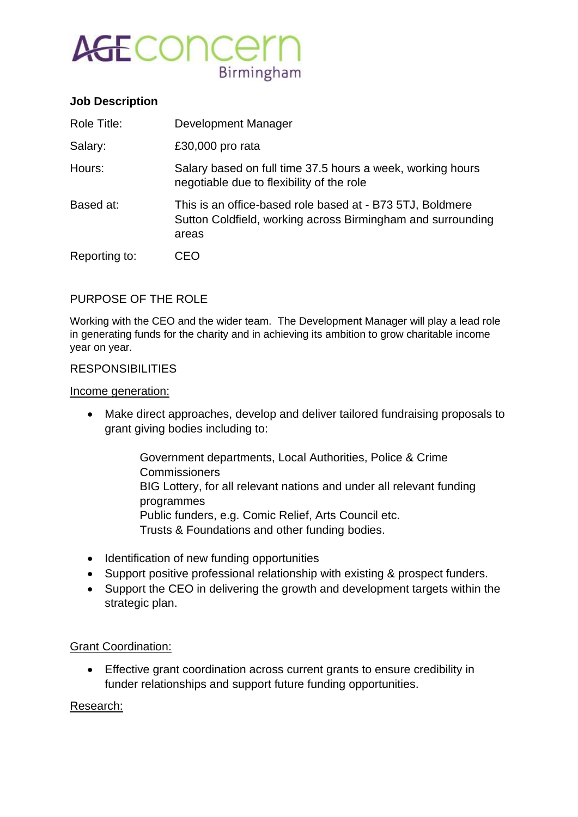# AGECONCER Birmingham

### **Job Description**

| Role Title:   | Development Manager                                                                                                               |
|---------------|-----------------------------------------------------------------------------------------------------------------------------------|
| Salary:       | £30,000 pro rata                                                                                                                  |
| Hours:        | Salary based on full time 37.5 hours a week, working hours<br>negotiable due to flexibility of the role                           |
| Based at:     | This is an office-based role based at - B73 5TJ, Boldmere<br>Sutton Coldfield, working across Birmingham and surrounding<br>areas |
| Reporting to: | CEO                                                                                                                               |

## PURPOSE OF THE ROLE

Working with the CEO and the wider team. The Development Manager will play a lead role in generating funds for the charity and in achieving its ambition to grow charitable income year on year.

### **RESPONSIBILITIES**

Income generation:

• Make direct approaches, develop and deliver tailored fundraising proposals to grant giving bodies including to:

> Government departments, Local Authorities, Police & Crime **Commissioners** BIG Lottery, for all relevant nations and under all relevant funding programmes Public funders, e.g. Comic Relief, Arts Council etc. Trusts & Foundations and other funding bodies.

- Identification of new funding opportunities
- Support positive professional relationship with existing & prospect funders.
- Support the CEO in delivering the growth and development targets within the strategic plan.

### Grant Coordination:

• Effective grant coordination across current grants to ensure credibility in funder relationships and support future funding opportunities.

### Research: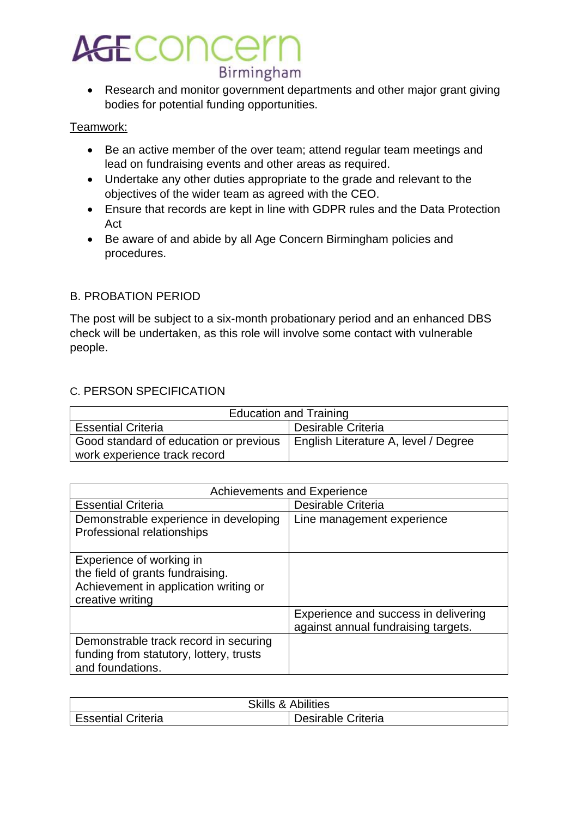# A<del>GE</del>CONCEM Birmingham

• Research and monitor government departments and other major grant giving bodies for potential funding opportunities.

### Teamwork:

- Be an active member of the over team; attend regular team meetings and lead on fundraising events and other areas as required.
- Undertake any other duties appropriate to the grade and relevant to the objectives of the wider team as agreed with the CEO.
- Ensure that records are kept in line with GDPR rules and the Data Protection Act
- Be aware of and abide by all Age Concern Birmingham policies and procedures.

## B. PROBATION PERIOD

The post will be subject to a six-month probationary period and an enhanced DBS check will be undertaken, as this role will involve some contact with vulnerable people.

### C. PERSON SPECIFICATION

| <b>Education and Training</b>          |                                      |  |  |
|----------------------------------------|--------------------------------------|--|--|
| <b>Essential Criteria</b>              | Desirable Criteria                   |  |  |
| Good standard of education or previous | English Literature A, level / Degree |  |  |
| work experience track record           |                                      |  |  |

| <b>Achievements and Experience</b>                                                                                        |                                                                             |  |
|---------------------------------------------------------------------------------------------------------------------------|-----------------------------------------------------------------------------|--|
| <b>Essential Criteria</b>                                                                                                 | Desirable Criteria                                                          |  |
| Demonstrable experience in developing<br>Professional relationships                                                       | Line management experience                                                  |  |
| Experience of working in<br>the field of grants fundraising.<br>Achievement in application writing or<br>creative writing |                                                                             |  |
|                                                                                                                           | Experience and success in delivering<br>against annual fundraising targets. |  |
| Demonstrable track record in securing<br>funding from statutory, lottery, trusts<br>and foundations.                      |                                                                             |  |

| <b>Skills &amp; Abilities</b> |                    |  |
|-------------------------------|--------------------|--|
| <b>Essential Criteria</b>     | Desirable Criteria |  |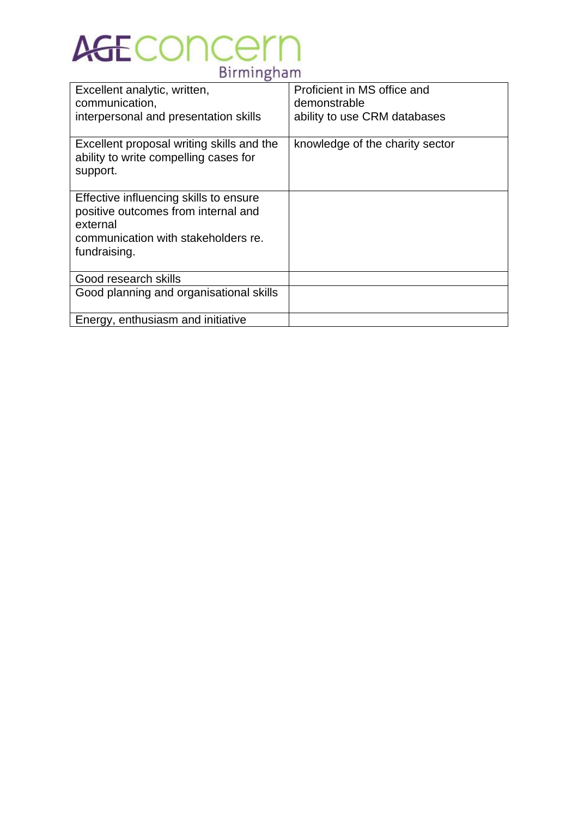## AGECONCErn Birmingham

| Excellent analytic, written,                                                                                                                     | Proficient in MS office and     |
|--------------------------------------------------------------------------------------------------------------------------------------------------|---------------------------------|
| communication,                                                                                                                                   | demonstrable                    |
| interpersonal and presentation skills                                                                                                            | ability to use CRM databases    |
| Excellent proposal writing skills and the<br>ability to write compelling cases for<br>support.                                                   | knowledge of the charity sector |
| Effective influencing skills to ensure<br>positive outcomes from internal and<br>external<br>communication with stakeholders re.<br>fundraising. |                                 |
|                                                                                                                                                  |                                 |
| Good research skills                                                                                                                             |                                 |
| Good planning and organisational skills                                                                                                          |                                 |
| Energy, enthusiasm and initiative                                                                                                                |                                 |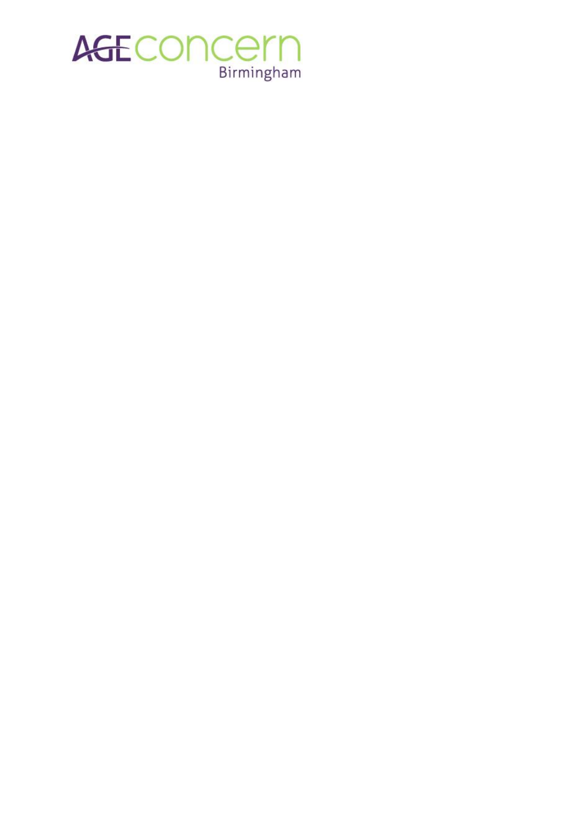